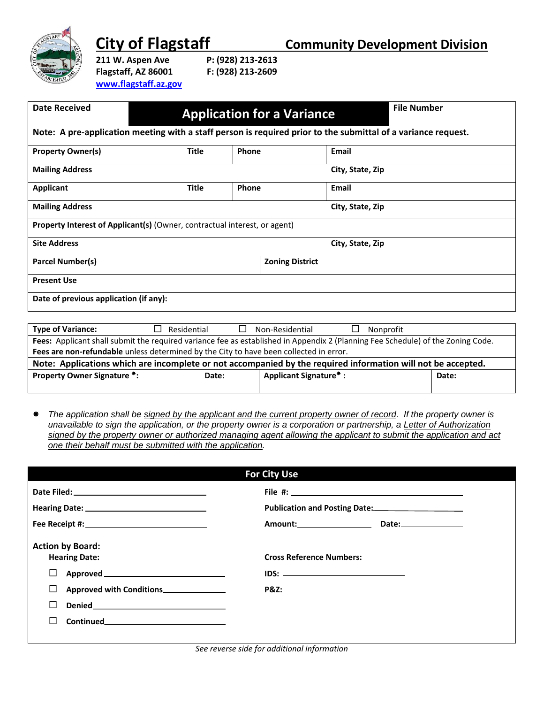

**City of Flagstaff Community Development Division** 

**211 W. Aspen Ave P: (928) 213-2613 Flagstaff, AZ 86001 F: (928) 213-2609 [www.flagstaff.az.gov](http://www.flagstaff.az.gov/)**

| <b>Date Received</b>                   |                                                                                                               |       | <b>Application for a Variance</b> |                  | <b>File Number</b> |
|----------------------------------------|---------------------------------------------------------------------------------------------------------------|-------|-----------------------------------|------------------|--------------------|
|                                        | Note: A pre-application meeting with a staff person is required prior to the submittal of a variance request. |       |                                   |                  |                    |
| <b>Property Owner(s)</b>               | <b>Title</b>                                                                                                  | Phone |                                   | <b>Email</b>     |                    |
| <b>Mailing Address</b>                 |                                                                                                               |       |                                   | City, State, Zip |                    |
| <b>Applicant</b>                       | <b>Title</b>                                                                                                  | Phone |                                   | <b>Email</b>     |                    |
| <b>Mailing Address</b>                 |                                                                                                               |       |                                   | City, State, Zip |                    |
|                                        | <b>Property Interest of Applicant(s)</b> (Owner, contractual interest, or agent)                              |       |                                   |                  |                    |
| <b>Site Address</b>                    |                                                                                                               |       |                                   | City, State, Zip |                    |
| <b>Parcel Number(s)</b>                |                                                                                                               |       | <b>Zoning District</b>            |                  |                    |
| <b>Present Use</b>                     |                                                                                                               |       |                                   |                  |                    |
| Date of previous application (if any): |                                                                                                               |       |                                   |                  |                    |

| <b>Type of Variance:</b>                                                                                                        | Residential                                                                            | Non-Residential                    | Nonprofit |       |  |  |
|---------------------------------------------------------------------------------------------------------------------------------|----------------------------------------------------------------------------------------|------------------------------------|-----------|-------|--|--|
| Fees: Applicant shall submit the required variance fee as established in Appendix 2 (Planning Fee Schedule) of the Zoning Code. |                                                                                        |                                    |           |       |  |  |
|                                                                                                                                 | Fees are non-refundable unless determined by the City to have been collected in error. |                                    |           |       |  |  |
| Note: Applications which are incomplete or not accompanied by the required information will not be accepted.                    |                                                                                        |                                    |           |       |  |  |
| <b>Property Owner Signature *:</b>                                                                                              | Date:                                                                                  | Applicant Signature <sup>*</sup> : |           | Date: |  |  |
|                                                                                                                                 |                                                                                        |                                    |           |       |  |  |

 *The application shall be signed by the applicant and the current property owner of record. If the property owner is unavailable to sign the application, or the property owner is a corporation or partnership, a Letter of Authorization signed by the property owner or authorized managing agent allowing the applicant to submit the application and act one their behalf must be submitted with the application.*

|                                                 |                                                  | <b>For City Use</b>                                                                                                                                                                                                                     |                                              |  |
|-------------------------------------------------|--------------------------------------------------|-----------------------------------------------------------------------------------------------------------------------------------------------------------------------------------------------------------------------------------------|----------------------------------------------|--|
|                                                 |                                                  |                                                                                                                                                                                                                                         |                                              |  |
|                                                 |                                                  |                                                                                                                                                                                                                                         | Publication and Posting Date: 2000 2010 2021 |  |
|                                                 | Fee Receipt #: _________________________________ |                                                                                                                                                                                                                                         | Amount: Date: Date:                          |  |
| <b>Action by Board:</b><br><b>Hearing Date:</b> |                                                  | <b>Cross Reference Numbers:</b>                                                                                                                                                                                                         |                                              |  |
|                                                 |                                                  |                                                                                                                                                                                                                                         |                                              |  |
|                                                 | Approved with Conditions_______________          | <b>P&amp;Z:</b> The contract of the contract of the contract of the contract of the contract of the contract of the contract of the contract of the contract of the contract of the contract of the contract of the contract of the con |                                              |  |
|                                                 |                                                  |                                                                                                                                                                                                                                         |                                              |  |
| Continued <b>Continued</b>                      |                                                  |                                                                                                                                                                                                                                         |                                              |  |
|                                                 |                                                  |                                                                                                                                                                                                                                         |                                              |  |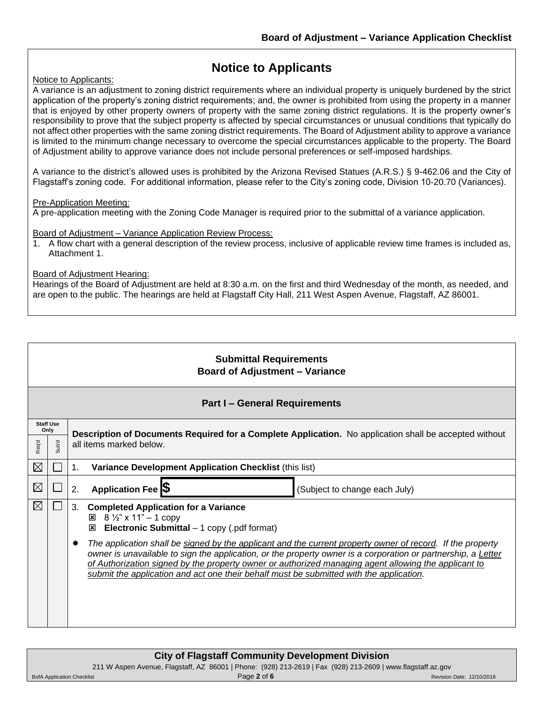### **Notice to Applicants**

Notice to Applicants:

A variance is an adjustment to zoning district requirements where an individual property is uniquely burdened by the strict application of the property's zoning district requirements; and, the owner is prohibited from using the property in a manner that is enjoyed by other property owners of property with the same zoning district regulations. It is the property owner's responsibility to prove that the subject property is affected by special circumstances or unusual conditions that typically do not affect other properties with the same zoning district requirements. The Board of Adjustment ability to approve a variance is limited to the minimum change necessary to overcome the special circumstances applicable to the property. The Board of Adjustment ability to approve variance does not include personal preferences or self-imposed hardships.

A variance to the district's allowed uses is prohibited by the Arizona Revised Statues (A.R.S.) § 9-462.06 and the City of Flagstaff's zoning code. For additional information, please refer to the City's zoning code, Division 10-20.70 (Variances).

#### Pre-Application Meeting:

A pre-application meeting with the Zoning Code Manager is required prior to the submittal of a variance application.

Board of Adjustment – Variance Application Review Process:

1. A flow chart with a general description of the review process, inclusive of applicable review time frames is included as, Attachment 1.

#### Board of Adjustment Hearing:

Hearings of the Board of Adjustment are held at 8:30 a.m. on the first and third Wednesday of the month, as needed, and are open to the public. The hearings are held at Flagstaff City Hall, 211 West Aspen Avenue, Flagstaff, AZ 86001.

|             | <b>Submittal Requirements</b><br><b>Board of Adjustment - Variance</b> |    |                                                                                                                                                                                                                                                                                                                                                                                                                                |  |  |
|-------------|------------------------------------------------------------------------|----|--------------------------------------------------------------------------------------------------------------------------------------------------------------------------------------------------------------------------------------------------------------------------------------------------------------------------------------------------------------------------------------------------------------------------------|--|--|
|             | <b>Part I - General Requirements</b>                                   |    |                                                                                                                                                                                                                                                                                                                                                                                                                                |  |  |
|             | <b>Staff Use</b><br>Only                                               |    | Description of Documents Required for a Complete Application. No application shall be accepted without                                                                                                                                                                                                                                                                                                                         |  |  |
| Req'd       | <b>b</b> 'duS                                                          |    | all items marked below.                                                                                                                                                                                                                                                                                                                                                                                                        |  |  |
| $\boxtimes$ |                                                                        | 1. | Variance Development Application Checklist (this list)                                                                                                                                                                                                                                                                                                                                                                         |  |  |
| $\boxtimes$ | ⊔                                                                      | 2. | Application Fee S<br>(Subject to change each July)                                                                                                                                                                                                                                                                                                                                                                             |  |  |
| $\boxtimes$ |                                                                        | 3. | <b>Completed Application for a Variance</b><br>$8\frac{1}{2}$ " x 11" - 1 copy<br>⊠<br>$\boxtimes$ Electronic Submittal – 1 copy (.pdf format)                                                                                                                                                                                                                                                                                 |  |  |
|             |                                                                        | ₩  | The application shall be signed by the applicant and the current property owner of record. If the property<br>owner is unavailable to sign the application, or the property owner is a corporation or partnership, a Letter<br>of Authorization signed by the property owner or authorized managing agent allowing the applicant to<br>submit the application and act one their behalf must be submitted with the application. |  |  |

| <b>City of Flagstaff Community Development Division</b>                                                     |             |                           |  |
|-------------------------------------------------------------------------------------------------------------|-------------|---------------------------|--|
| 211 W Aspen Avenue, Flagstaff, AZ 86001   Phone: (928) 213-2619   Fax (928) 213-2609   www.flagstaff.az.gov |             |                           |  |
| <b>BofA Application Checklist</b>                                                                           | Page 2 of 6 | Revision Date: 12/10/2018 |  |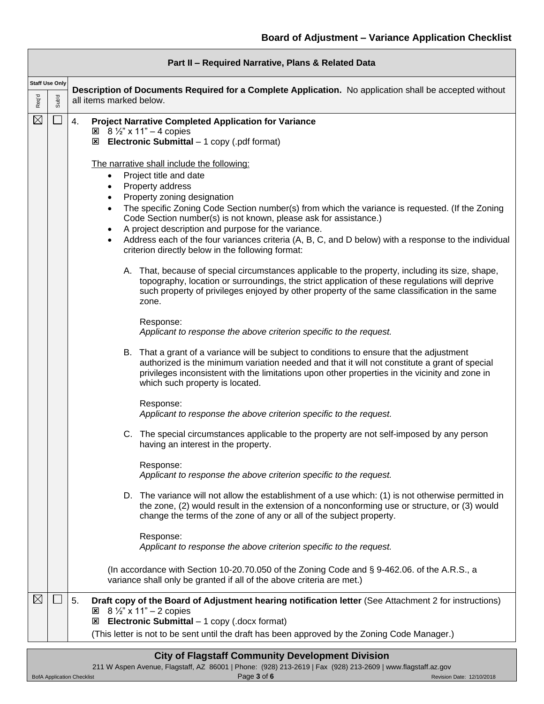|             | Part II - Required Narrative, Plans & Related Data |                                                                                                                                                                                                                                                                                                                                                                                                                                                                                                                                                                                                                                                                                                                                                                                                                                                                                                                                                                                                                                                                                                                                                                                                                                                                                                                                                                                                                                                                                                                                                                                                                                                                                                                                                                                                                                                                                                                                                                                                                                                                                                                                                                                                                                       |  |  |  |
|-------------|----------------------------------------------------|---------------------------------------------------------------------------------------------------------------------------------------------------------------------------------------------------------------------------------------------------------------------------------------------------------------------------------------------------------------------------------------------------------------------------------------------------------------------------------------------------------------------------------------------------------------------------------------------------------------------------------------------------------------------------------------------------------------------------------------------------------------------------------------------------------------------------------------------------------------------------------------------------------------------------------------------------------------------------------------------------------------------------------------------------------------------------------------------------------------------------------------------------------------------------------------------------------------------------------------------------------------------------------------------------------------------------------------------------------------------------------------------------------------------------------------------------------------------------------------------------------------------------------------------------------------------------------------------------------------------------------------------------------------------------------------------------------------------------------------------------------------------------------------------------------------------------------------------------------------------------------------------------------------------------------------------------------------------------------------------------------------------------------------------------------------------------------------------------------------------------------------------------------------------------------------------------------------------------------------|--|--|--|
| Req'd       | <b>Staff Use Only</b><br>Sub'd                     | Description of Documents Required for a Complete Application. No application shall be accepted without<br>all items marked below.                                                                                                                                                                                                                                                                                                                                                                                                                                                                                                                                                                                                                                                                                                                                                                                                                                                                                                                                                                                                                                                                                                                                                                                                                                                                                                                                                                                                                                                                                                                                                                                                                                                                                                                                                                                                                                                                                                                                                                                                                                                                                                     |  |  |  |
| $\boxtimes$ |                                                    | <b>Project Narrative Completed Application for Variance</b><br>4.<br>$\boxtimes$ 8 1/2" x 11" - 4 copies<br><b>Electronic Submittal</b> $-1$ copy (.pdf format)<br>⊠<br>The narrative shall include the following:<br>Project title and date<br>$\bullet$<br>Property address<br>Property zoning designation<br>The specific Zoning Code Section number(s) from which the variance is requested. (If the Zoning<br>Code Section number(s) is not known, please ask for assistance.)<br>A project description and purpose for the variance.<br>Address each of the four variances criteria (A, B, C, and D below) with a response to the individual<br>$\bullet$<br>criterion directly below in the following format:<br>A. That, because of special circumstances applicable to the property, including its size, shape,<br>topography, location or surroundings, the strict application of these regulations will deprive<br>such property of privileges enjoyed by other property of the same classification in the same<br>zone.<br>Response:<br>Applicant to response the above criterion specific to the request.<br>B. That a grant of a variance will be subject to conditions to ensure that the adjustment<br>authorized is the minimum variation needed and that it will not constitute a grant of special<br>privileges inconsistent with the limitations upon other properties in the vicinity and zone in<br>which such property is located.<br>Response:<br>Applicant to response the above criterion specific to the request.<br>C. The special circumstances applicable to the property are not self-imposed by any person<br>having an interest in the property.<br>Response:<br>Applicant to response the above criterion specific to the request.<br>D. The variance will not allow the establishment of a use which: (1) is not otherwise permitted in<br>the zone, (2) would result in the extension of a nonconforming use or structure, or (3) would<br>change the terms of the zone of any or all of the subject property.<br>Response:<br>Applicant to response the above criterion specific to the request.<br>(In accordance with Section 10-20.70.050 of the Zoning Code and § 9-462.06. of the A.R.S., a |  |  |  |
| $\boxtimes$ |                                                    | variance shall only be granted if all of the above criteria are met.)                                                                                                                                                                                                                                                                                                                                                                                                                                                                                                                                                                                                                                                                                                                                                                                                                                                                                                                                                                                                                                                                                                                                                                                                                                                                                                                                                                                                                                                                                                                                                                                                                                                                                                                                                                                                                                                                                                                                                                                                                                                                                                                                                                 |  |  |  |
|             |                                                    | 5.<br>Draft copy of the Board of Adjustment hearing notification letter (See Attachment 2 for instructions)<br>$\boxtimes$ 8 1/2" x 11" - 2 copies<br><b>Electronic Submittal</b> $-1$ copy (.docx format)<br>⊠<br>(This letter is not to be sent until the draft has been approved by the Zoning Code Manager.)                                                                                                                                                                                                                                                                                                                                                                                                                                                                                                                                                                                                                                                                                                                                                                                                                                                                                                                                                                                                                                                                                                                                                                                                                                                                                                                                                                                                                                                                                                                                                                                                                                                                                                                                                                                                                                                                                                                      |  |  |  |

|                                   | <b>City of Flagstaff Community Development Division</b>                                                     |                           |
|-----------------------------------|-------------------------------------------------------------------------------------------------------------|---------------------------|
|                                   | 211 W Aspen Avenue, Flagstaff, AZ 86001   Phone: (928) 213-2619   Fax (928) 213-2609   www.flagstaff.az.gov |                           |
| <b>BofA Application Checklist</b> | Page 3 of 6                                                                                                 | Revision Date: 12/10/2018 |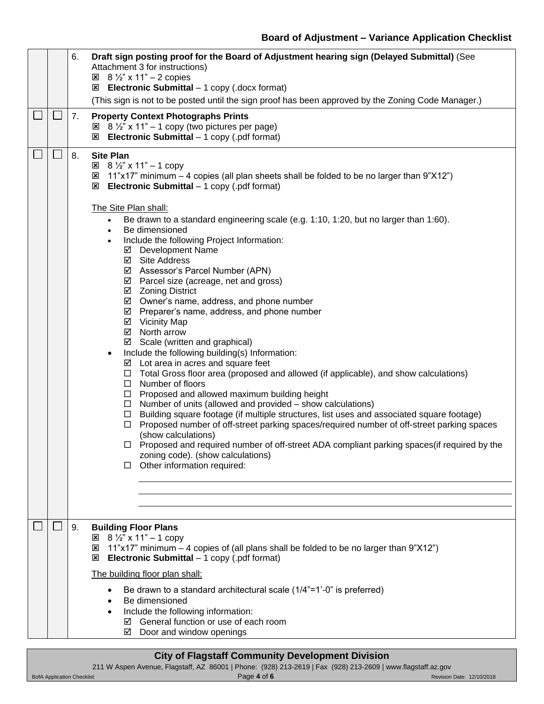|        |               | 6. | Draft sign posting proof for the Board of Adjustment hearing sign (Delayed Submittal) (See<br>Attachment 3 for instructions)<br>$\boxtimes$ 8 1/2" x 11" - 2 copies<br><b>Electronic Submittal</b> - 1 copy (.docx format)                                                                                                                                                                                                                                                                                                                                                                                                                                                                                                                                                                                                                                                                                                                                                                                                                                                                                                                                                                                                                                                                                                                                                                                                                                                                                                                              |
|--------|---------------|----|---------------------------------------------------------------------------------------------------------------------------------------------------------------------------------------------------------------------------------------------------------------------------------------------------------------------------------------------------------------------------------------------------------------------------------------------------------------------------------------------------------------------------------------------------------------------------------------------------------------------------------------------------------------------------------------------------------------------------------------------------------------------------------------------------------------------------------------------------------------------------------------------------------------------------------------------------------------------------------------------------------------------------------------------------------------------------------------------------------------------------------------------------------------------------------------------------------------------------------------------------------------------------------------------------------------------------------------------------------------------------------------------------------------------------------------------------------------------------------------------------------------------------------------------------------|
|        |               |    | (This sign is not to be posted until the sign proof has been approved by the Zoning Code Manager.)                                                                                                                                                                                                                                                                                                                                                                                                                                                                                                                                                                                                                                                                                                                                                                                                                                                                                                                                                                                                                                                                                                                                                                                                                                                                                                                                                                                                                                                      |
| $\Box$ |               | 7. | <b>Property Context Photographs Prints</b><br>$\boxtimes$ 8 1/2" x 11" - 1 copy (two pictures per page)<br><b>Electronic Submittal</b> - 1 copy (.pdf format)                                                                                                                                                                                                                                                                                                                                                                                                                                                                                                                                                                                                                                                                                                                                                                                                                                                                                                                                                                                                                                                                                                                                                                                                                                                                                                                                                                                           |
| $\Box$ | $\Box$        | 8. | <b>Site Plan</b><br>$\boxtimes$ 8 1/2" x 11" - 1 copy<br><b>E</b> 11"x17" minimum – 4 copies (all plan sheets shall be folded to be no larger than 9"X12")<br>$\boxtimes$ Electronic Submittal – 1 copy (.pdf format)<br>The Site Plan shall:<br>Be drawn to a standard engineering scale (e.g. 1:10, 1:20, but no larger than 1:60).<br>$\bullet$<br>Be dimensioned<br>$\bullet$<br>Include the following Project Information:<br>☑ Development Name<br>☑ Site Address<br>☑ Assessor's Parcel Number (APN)<br>$\boxtimes$ Parcel size (acreage, net and gross)<br>☑ Zoning District<br>$\boxtimes$ Owner's name, address, and phone number<br>$\boxtimes$ Preparer's name, address, and phone number<br>☑ Vicinity Map<br>☑ North arrow<br>☑ Scale (written and graphical)<br>Include the following building(s) Information:<br>$\boxtimes$ Lot area in acres and square feet<br>$\Box$ Total Gross floor area (proposed and allowed (if applicable), and show calculations)<br>$\Box$ Number of floors<br>$\Box$ Proposed and allowed maximum building height<br>$\Box$ Number of units (allowed and provided – show calculations)<br>$\Box$ Building square footage (if multiple structures, list uses and associated square footage)<br>Proposed number of off-street parking spaces/required number of off-street parking spaces<br>$\Box$<br>(show calculations)<br>Proposed and required number of off-street ADA compliant parking spaces(if required by the<br>$\Box$<br>zoning code). (show calculations)<br>Other information required:<br>□ |
|        | $\mathcal{L}$ | 9. | <b>Building Floor Plans</b><br>$\mathbb{E}$ 8 $\frac{1}{2}$ x 11" - 1 copy                                                                                                                                                                                                                                                                                                                                                                                                                                                                                                                                                                                                                                                                                                                                                                                                                                                                                                                                                                                                                                                                                                                                                                                                                                                                                                                                                                                                                                                                              |
|        |               |    | 11"x17" minimum – 4 copies of (all plans shall be folded to be no larger than 9"X12")<br>⊠<br><b>Electronic Submittal</b> $-1$ copy (.pdf format)<br>⊠                                                                                                                                                                                                                                                                                                                                                                                                                                                                                                                                                                                                                                                                                                                                                                                                                                                                                                                                                                                                                                                                                                                                                                                                                                                                                                                                                                                                  |
|        |               |    | The building floor plan shall:                                                                                                                                                                                                                                                                                                                                                                                                                                                                                                                                                                                                                                                                                                                                                                                                                                                                                                                                                                                                                                                                                                                                                                                                                                                                                                                                                                                                                                                                                                                          |
|        |               |    | Be drawn to a standard architectural scale $(1/4" = 1'-0"$ is preferred)<br>Be dimensioned<br>Include the following information:<br>General function or use of each room<br>☑<br>Door and window openings<br>☑                                                                                                                                                                                                                                                                                                                                                                                                                                                                                                                                                                                                                                                                                                                                                                                                                                                                                                                                                                                                                                                                                                                                                                                                                                                                                                                                          |
|        |               |    | <b>City of Flagstaff Community Development Division</b>                                                                                                                                                                                                                                                                                                                                                                                                                                                                                                                                                                                                                                                                                                                                                                                                                                                                                                                                                                                                                                                                                                                                                                                                                                                                                                                                                                                                                                                                                                 |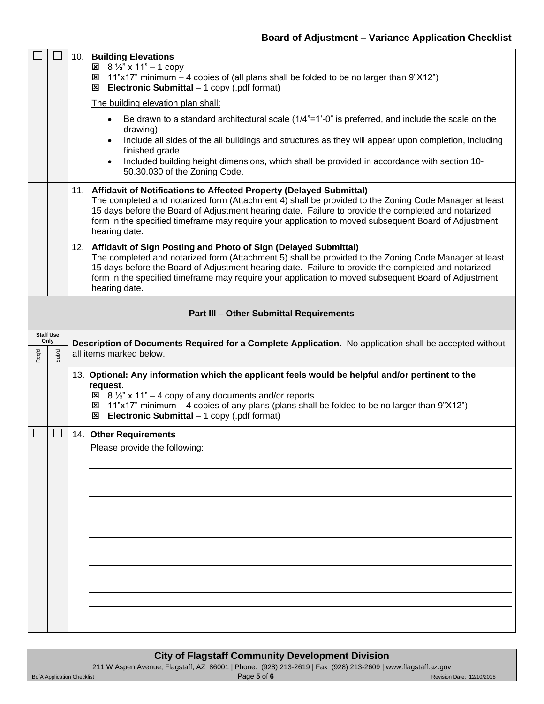|                           | $\Box$               | 10. Building Elevations<br>$\boxtimes$ 8 1/2" x 11" - 1 copy<br>11"x17" minimum – 4 copies of (all plans shall be folded to be no larger than 9"X12")<br>⊠<br><b>Electronic Submittal</b> $-1$ copy (.pdf format)<br>⊠<br>The building elevation plan shall:                                                                                                                                                     |
|---------------------------|----------------------|------------------------------------------------------------------------------------------------------------------------------------------------------------------------------------------------------------------------------------------------------------------------------------------------------------------------------------------------------------------------------------------------------------------|
|                           |                      | Be drawn to a standard architectural scale (1/4"=1'-0" is preferred, and include the scale on the<br>$\bullet$<br>drawing)<br>Include all sides of the all buildings and structures as they will appear upon completion, including<br>finished grade<br>Included building height dimensions, which shall be provided in accordance with section 10-<br>$\bullet$                                                 |
|                           |                      | 50.30.030 of the Zoning Code.                                                                                                                                                                                                                                                                                                                                                                                    |
|                           |                      | 11. Affidavit of Notifications to Affected Property (Delayed Submittal)<br>The completed and notarized form (Attachment 4) shall be provided to the Zoning Code Manager at least<br>15 days before the Board of Adjustment hearing date. Failure to provide the completed and notarized<br>form in the specified timeframe may require your application to moved subsequent Board of Adjustment<br>hearing date. |
|                           |                      | 12. Affidavit of Sign Posting and Photo of Sign (Delayed Submittal)<br>The completed and notarized form (Attachment 5) shall be provided to the Zoning Code Manager at least<br>15 days before the Board of Adjustment hearing date. Failure to provide the completed and notarized<br>form in the specified timeframe may require your application to moved subsequent Board of Adjustment<br>hearing date.     |
|                           |                      | <b>Part III - Other Submittal Requirements</b>                                                                                                                                                                                                                                                                                                                                                                   |
| <b>Staff Use</b><br>Req'd | Only<br><b>b</b> 'du | Description of Documents Required for a Complete Application. No application shall be accepted without<br>all items marked below.                                                                                                                                                                                                                                                                                |
|                           |                      |                                                                                                                                                                                                                                                                                                                                                                                                                  |
|                           |                      | 13. Optional: Any information which the applicant feels would be helpful and/or pertinent to the<br>request.<br>$\boxtimes$ 8 1/2" x 11" - 4 copy of any documents and/or reports<br><b>E</b> 11"x17" minimum – 4 copies of any plans (plans shall be folded to be no larger than 9"X12")<br>$\boxtimes$ Electronic Submittal – 1 copy (.pdf format)                                                             |
|                           | ⊔                    | 14. Other Requirements<br>Please provide the following:                                                                                                                                                                                                                                                                                                                                                          |
|                           |                      |                                                                                                                                                                                                                                                                                                                                                                                                                  |
|                           |                      |                                                                                                                                                                                                                                                                                                                                                                                                                  |
|                           |                      |                                                                                                                                                                                                                                                                                                                                                                                                                  |
|                           |                      |                                                                                                                                                                                                                                                                                                                                                                                                                  |
|                           |                      |                                                                                                                                                                                                                                                                                                                                                                                                                  |
|                           |                      |                                                                                                                                                                                                                                                                                                                                                                                                                  |
|                           |                      |                                                                                                                                                                                                                                                                                                                                                                                                                  |

| <b>City of Flagstaff Community Development Division</b> |                                                                                                             |                           |  |  |
|---------------------------------------------------------|-------------------------------------------------------------------------------------------------------------|---------------------------|--|--|
|                                                         | 211 W Aspen Avenue, Flagstaff, AZ 86001   Phone: (928) 213-2619   Fax (928) 213-2609   www.flagstaff.az.gov |                           |  |  |
| <b>BofA Application Checklist</b>                       | Page 5 of 6                                                                                                 | Revision Date: 12/10/2018 |  |  |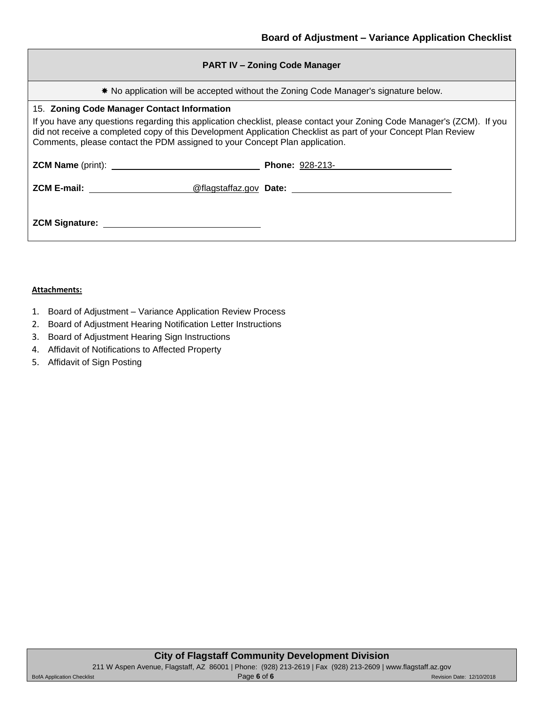\* No application will be accepted without the Zoning Code Manager's signature below.

#### 15. **Zoning Code Manager Contact Information**

If you have any questions regarding this application checklist, please contact your Zoning Code Manager's (ZCM). If you did not receive a completed copy of this Development Application Checklist as part of your Concept Plan Review Comments, please contact the PDM assigned to your Concept Plan application.

| <b>ZCM Name</b> (print): | <b>Phone: 928-213-</b> |  |
|--------------------------|------------------------|--|
| <b>ZCM E-mail:</b>       | @flagstaffaz.gov Date: |  |

| <b>ZCM Signature:</b> |  |
|-----------------------|--|
|                       |  |

#### **Attachments:**

- 1. Board of Adjustment Variance Application Review Process
- 2. Board of Adjustment Hearing Notification Letter Instructions
- 3. Board of Adjustment Hearing Sign Instructions
- 4. Affidavit of Notifications to Affected Property
- 5. Affidavit of Sign Posting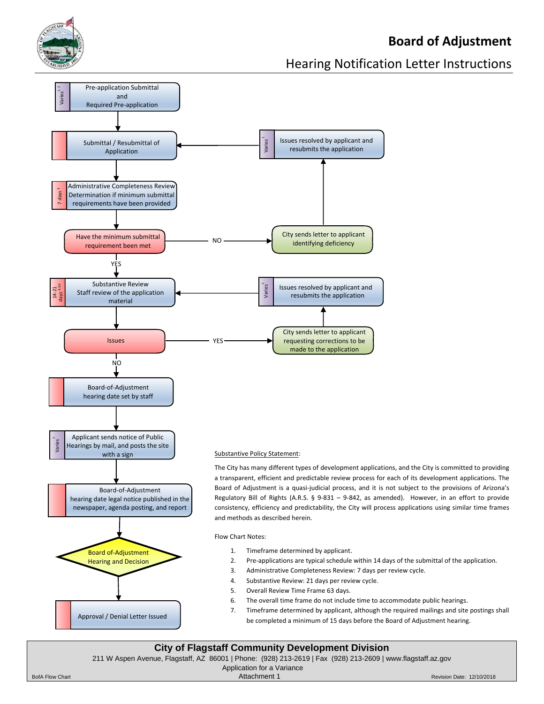

# **Board of Adjustment**

# Hearing Notification Letter Instructions



#### 211 W Aspen Avenue, Flagstaff, AZ 86001 | Phone: (928) 213-2619 | Fax (928) 213-2609 | www.flagstaff.az.gov

Application for a Variance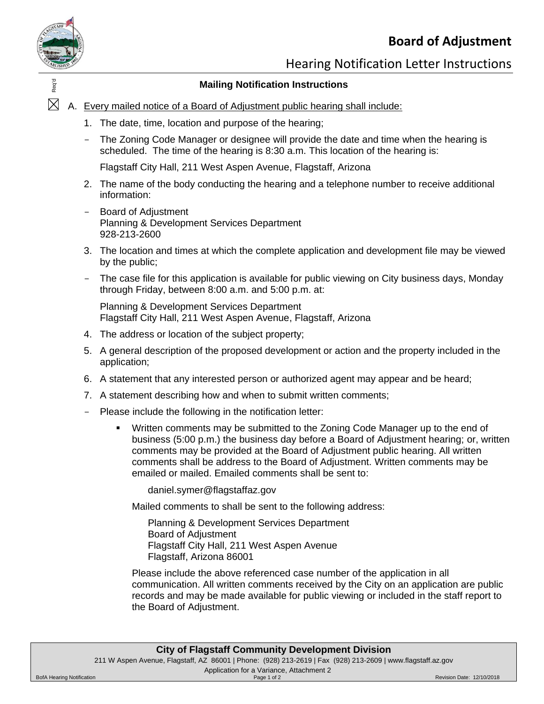# **Board of Adjustment**



Hearing Notification Letter Instructions

### **Mailing Notification Instructions**

- $\frac{1}{2}$ <br> $\frac{1}{2}$  A. Every mailed notice of a Board of Adjustment public hearing shall include:
	- 1. The date, time, location and purpose of the hearing;
	- The Zoning Code Manager or designee will provide the date and time when the hearing is scheduled. The time of the hearing is 8:30 a.m. This location of the hearing is:

Flagstaff City Hall, 211 West Aspen Avenue, Flagstaff, Arizona

- 2. The name of the body conducting the hearing and a telephone number to receive additional information:
- Board of Adjustment Planning & Development Services Department 928-213-2600
- 3. The location and times at which the complete application and development file may be viewed by the public;
- The case file for this application is available for public viewing on City business days, Monday through Friday, between 8:00 a.m. and 5:00 p.m. at:

Planning & Development Services Department Flagstaff City Hall, 211 West Aspen Avenue, Flagstaff, Arizona

- 4. The address or location of the subject property;
- 5. A general description of the proposed development or action and the property included in the application;
- 6. A statement that any interested person or authorized agent may appear and be heard;
- 7. A statement describing how and when to submit written comments;
- Please include the following in the notification letter:
	- Written comments may be submitted to the Zoning Code Manager up to the end of business (5:00 p.m.) the business day before a Board of Adjustment hearing; or, written comments may be provided at the Board of Adjustment public hearing. All written comments shall be address to the Board of Adjustment. Written comments may be emailed or mailed. Emailed comments shall be sent to:

daniel.symer@flagstaffaz.gov

Mailed comments to shall be sent to the following address:

Planning & Development Services Department Board of Adjustment Flagstaff City Hall, 211 West Aspen Avenue Flagstaff, Arizona 86001

Please include the above referenced case number of the application in all communication. All written comments received by the City on an application are public records and may be made available for public viewing or included in the staff report to the Board of Adjustment.

| <b>City of Flagstaff Community Development Division</b> |                                                                                                             |                           |  |  |
|---------------------------------------------------------|-------------------------------------------------------------------------------------------------------------|---------------------------|--|--|
|                                                         | 211 W Aspen Avenue, Flagstaff, AZ 86001   Phone: (928) 213-2619   Fax (928) 213-2609   www.flagstaff.az.gov |                           |  |  |
| Application for a Variance, Attachment 2                |                                                                                                             |                           |  |  |
| <b>BofA Hearing Notification</b>                        | Page 1 of 2                                                                                                 | Revision Date: 12/10/2018 |  |  |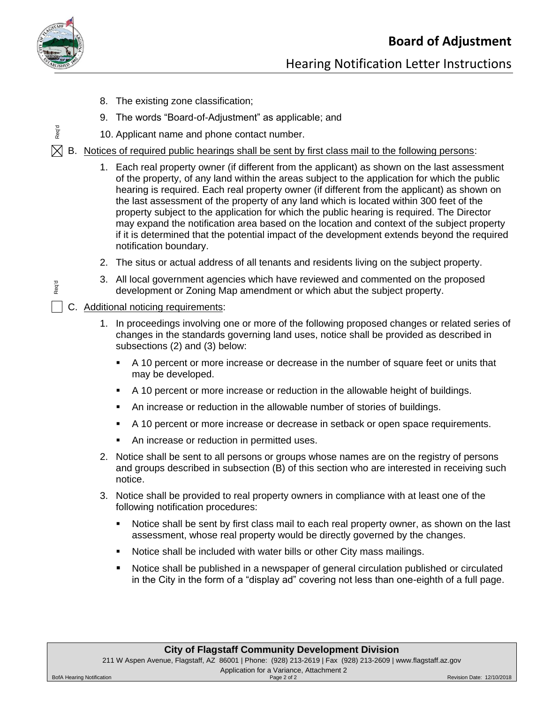

Req'd

Req'd

# Hearing Notification Letter Instructions

- 8. The existing zone classification;
- 9. The words "Board-of-Adjustment" as applicable; and
- 10. Applicant name and phone contact number.

# B. Notices of required public hearings shall be sent by first class mail to the following persons: 1

- 1. Each real property owner (if different from the applicant) as shown on the last assessment of the property, of any land within the areas subject to the application for which the public hearing is required. Each real property owner (if different from the applicant) as shown on the last assessment of the property of any land which is located within 300 feet of the property subject to the application for which the public hearing is required. The Director may expand the notification area based on the location and context of the subject property if it is determined that the potential impact of the development extends beyond the required notification boundary.
- 2. The situs or actual address of all tenants and residents living on the subject property.
- 3. All local government agencies which have reviewed and commented on the proposed development or Zoning Map amendment or which abut the subject property.

### C. Additional noticing requirements:

- 1. In proceedings involving one or more of the following proposed changes or related series of changes in the standards governing land uses, notice shall be provided as described in subsections (2) and (3) below:
	- A 10 percent or more increase or decrease in the number of square feet or units that may be developed.
	- A 10 percent or more increase or reduction in the allowable height of buildings.
	- An increase or reduction in the allowable number of stories of buildings.
	- A 10 percent or more increase or decrease in setback or open space requirements.
	- An increase or reduction in permitted uses.
- 2. Notice shall be sent to all persons or groups whose names are on the registry of persons and groups described in subsection (B) of this section who are interested in receiving such notice.
- 3. Notice shall be provided to real property owners in compliance with at least one of the following notification procedures:
	- **•** Notice shall be sent by first class mail to each real property owner, as shown on the last assessment, whose real property would be directly governed by the changes.
	- Notice shall be included with water bills or other City mass mailings.
	- Notice shall be published in a newspaper of general circulation published or circulated in the City in the form of a "display ad" covering not less than one-eighth of a full page.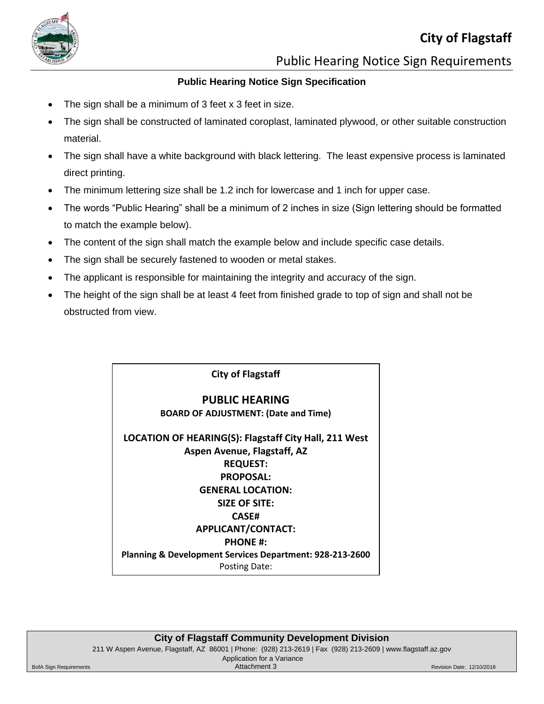

Public Hearing Notice Sign Requirements

### **Public Hearing Notice Sign Specification**

- The sign shall be a minimum of 3 feet x 3 feet in size.
- The sign shall be constructed of laminated coroplast, laminated plywood, or other suitable construction material.
- The sign shall have a white background with black lettering. The least expensive process is laminated direct printing.
- The minimum lettering size shall be 1.2 inch for lowercase and 1 inch for upper case.
- The words "Public Hearing" shall be a minimum of 2 inches in size (Sign lettering should be formatted to match the example below).
- The content of the sign shall match the example below and include specific case details.
- The sign shall be securely fastened to wooden or metal stakes.
- The applicant is responsible for maintaining the integrity and accuracy of the sign.
- The height of the sign shall be at least 4 feet from finished grade to top of sign and shall not be obstructed from view.

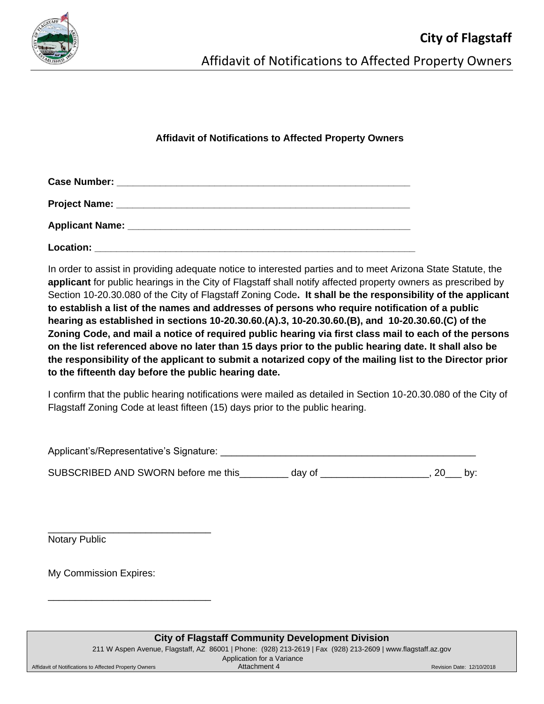

### **Affidavit of Notifications to Affected Property Owners**

| Location: |  |  |
|-----------|--|--|

In order to assist in providing adequate notice to interested parties and to meet Arizona State Statute, the **applicant** for public hearings in the City of Flagstaff shall notify affected property owners as prescribed by Section 10-20.30.080 of the City of Flagstaff Zoning Code**. It shall be the responsibility of the applicant to establish a list of the names and addresses of persons who require notification of a public hearing as established in sections 10-20.30.60.(A).3, 10-20.30.60.(B), and 10-20.30.60.(C) of the Zoning Code, and mail a notice of required public hearing via first class mail to each of the persons on the list referenced above no later than 15 days prior to the public hearing date. It shall also be the responsibility of the applicant to submit a notarized copy of the mailing list to the Director prior to the fifteenth day before the public hearing date.**

I confirm that the public hearing notifications were mailed as detailed in Section 10-20.30.080 of the City of Flagstaff Zoning Code at least fifteen (15) days prior to the public hearing.

Applicant's/Representative's Signature: \_\_\_\_\_\_\_\_\_\_\_\_\_\_\_\_\_\_\_\_\_\_\_\_\_\_\_\_\_\_\_\_\_\_\_\_\_\_\_\_\_\_\_\_\_\_\_ SUBSCRIBED AND SWORN before me this \_\_\_\_\_\_\_\_ day of \_\_\_\_\_\_\_\_\_\_\_\_\_\_\_\_\_\_\_\_\_, 20\_\_\_ by:

Notary Public

My Commission Expires:

\_\_\_\_\_\_\_\_\_\_\_\_\_\_\_\_\_\_\_\_\_\_\_\_\_\_\_\_\_\_

\_\_\_\_\_\_\_\_\_\_\_\_\_\_\_\_\_\_\_\_\_\_\_\_\_\_\_\_\_\_

| <b>City of Flagstaff Community Development Division</b> |                                                                                                             |                           |  |  |
|---------------------------------------------------------|-------------------------------------------------------------------------------------------------------------|---------------------------|--|--|
|                                                         | 211 W Aspen Avenue, Flagstaff, AZ 86001   Phone: (928) 213-2619   Fax (928) 213-2609   www.flagstaff.az.gov |                           |  |  |
| Application for a Variance                              |                                                                                                             |                           |  |  |
| Affidavit of Notifications to Affected Property Owners  | Attachment 4                                                                                                | Revision Date: 12/10/2018 |  |  |